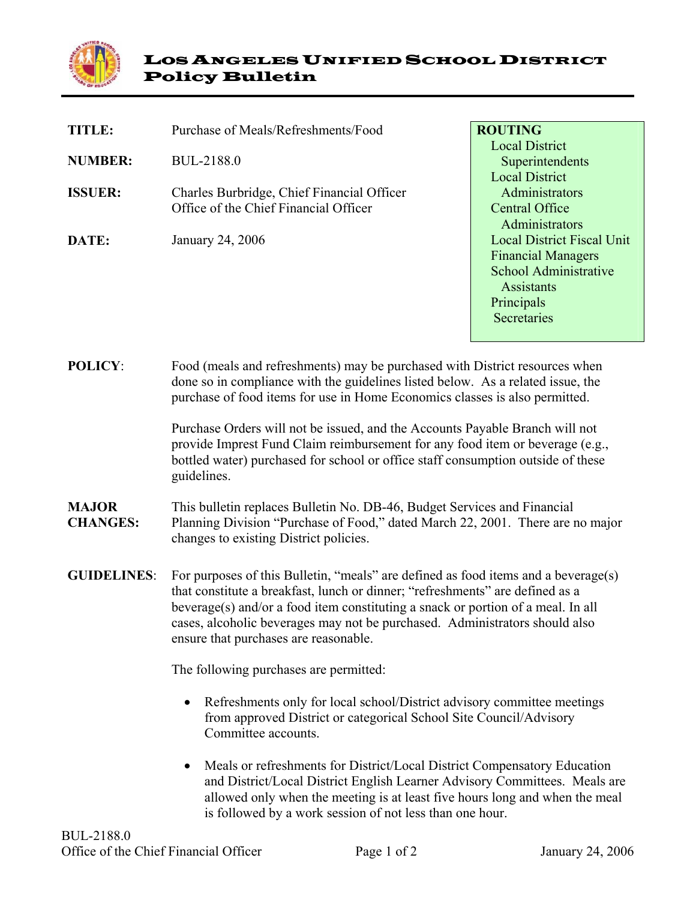

| <b>TITLE:</b>  | Purchase of Meals/Refreshments/Food              | <b>ROUTING</b>                    |
|----------------|--------------------------------------------------|-----------------------------------|
|                |                                                  | <b>Local District</b>             |
| <b>NUMBER:</b> | BUL-2188.0                                       | Superintendents                   |
|                |                                                  | <b>Local District</b>             |
| <b>ISSUER:</b> | Charles Burbridge, Chief Financial Officer       | Administrators                    |
|                | Office of the Chief Financial Officer            | Central Office                    |
|                |                                                  | Administrators                    |
| <b>DATE:</b>   | January 24, 2006                                 | <b>Local District Fiscal Unit</b> |
|                |                                                  | <b>Financial Managers</b>         |
|                |                                                  | School Administrative             |
|                |                                                  | <b>Assistants</b>                 |
|                |                                                  | Principals                        |
|                |                                                  | Secretaries                       |
|                |                                                  |                                   |
|                |                                                  |                                   |
| DAT TALI       | $\mathbf{r}$ 1 (101 ) 1 1 1 1 1 1 1 $\mathbf{r}$ |                                   |

**POLICY**: Food (meals and refreshments) may be purchased with District resources when done so in compliance with the guidelines listed below. As a related issue, the purchase of food items for use in Home Economics classes is also permitted.

> Purchase Orders will not be issued, and the Accounts Payable Branch will not provide Imprest Fund Claim reimbursement for any food item or beverage (e.g., bottled water) purchased for school or office staff consumption outside of these guidelines.

## **MAJOR CHANGES:** This bulletin replaces Bulletin No. DB-46, Budget Services and Financial Planning Division "Purchase of Food," dated March 22, 2001. There are no major changes to existing District policies.

**GUIDELINES**: For purposes of this Bulletin, "meals" are defined as food items and a beverage(s) that constitute a breakfast, lunch or dinner; "refreshments" are defined as a beverage(s) and/or a food item constituting a snack or portion of a meal. In all cases, alcoholic beverages may not be purchased. Administrators should also ensure that purchases are reasonable.

The following purchases are permitted:

- Refreshments only for local school/District advisory committee meetings from approved District or categorical School Site Council/Advisory Committee accounts.
- Meals or refreshments for District/Local District Compensatory Education and District/Local District English Learner Advisory Committees. Meals are allowed only when the meeting is at least five hours long and when the meal is followed by a work session of not less than one hour.